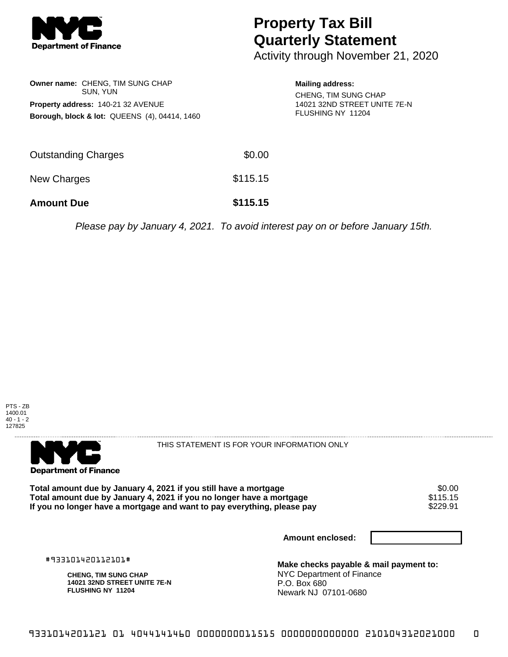

## **Property Tax Bill Quarterly Statement**

Activity through November 21, 2020

| <b>Owner name: CHENG, TIM SUNG CHAP</b><br>SUN, YUN<br><b>Property address: 140-21 32 AVENUE</b><br><b>Borough, block &amp; lot: QUEENS (4), 04414, 1460</b> |        | <b>Mailing address:</b><br>CHENG, TIM SUNG CHAP<br>14021 32ND STREET UNITE 7E-N<br>FLUSHING NY 11204 |
|--------------------------------------------------------------------------------------------------------------------------------------------------------------|--------|------------------------------------------------------------------------------------------------------|
| <b>Outstanding Charges</b>                                                                                                                                   | \$0.00 |                                                                                                      |

New Charges \$115.15

**Amount Due \$115.15**

Please pay by January 4, 2021. To avoid interest pay on or before January 15th.





THIS STATEMENT IS FOR YOUR INFORMATION ONLY

Total amount due by January 4, 2021 if you still have a mortgage **\$0.00** \$0.00<br>Total amount due by January 4, 2021 if you no longer have a mortgage **Total amount due by January 4, 2021 if you no longer have a mortgage \$115.15<br>If you no longer have a mortgage and want to pay everything, please pay \$229.91** If you no longer have a mortgage and want to pay everything, please pay

**Amount enclosed:**

#933101420112101#

**CHENG, TIM SUNG CHAP 14021 32ND STREET UNITE 7E-N FLUSHING NY 11204**

**Make checks payable & mail payment to:** NYC Department of Finance P.O. Box 680 Newark NJ 07101-0680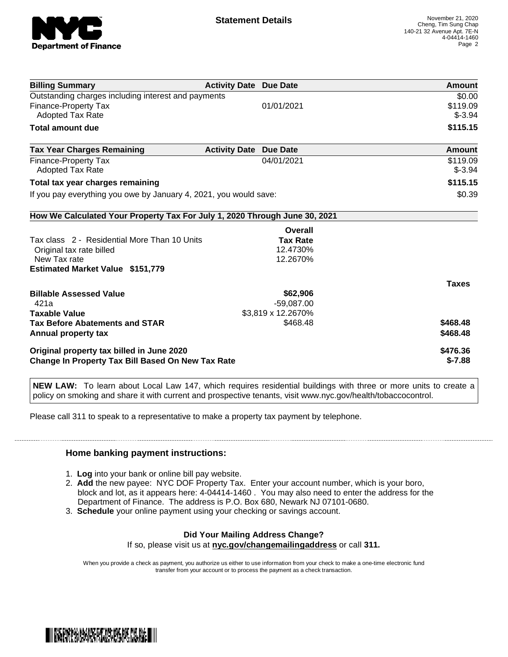

| <b>Billing Summary</b>                                                     | <b>Activity Date Due Date</b> |                    | Amount        |
|----------------------------------------------------------------------------|-------------------------------|--------------------|---------------|
| Outstanding charges including interest and payments                        |                               |                    | \$0.00        |
| Finance-Property Tax                                                       |                               | 01/01/2021         | \$119.09      |
| Adopted Tax Rate                                                           |                               |                    | $$-3.94$      |
| <b>Total amount due</b>                                                    |                               |                    | \$115.15      |
| <b>Tax Year Charges Remaining</b>                                          | <b>Activity Date Due Date</b> |                    | <b>Amount</b> |
| Finance-Property Tax                                                       |                               | 04/01/2021         | \$119.09      |
| <b>Adopted Tax Rate</b>                                                    |                               |                    | $$-3.94$      |
| Total tax year charges remaining                                           |                               |                    | \$115.15      |
| If you pay everything you owe by January 4, 2021, you would save:          |                               |                    | \$0.39        |
| How We Calculated Your Property Tax For July 1, 2020 Through June 30, 2021 |                               |                    |               |
|                                                                            |                               | Overall            |               |
| Tax class 2 - Residential More Than 10 Units                               |                               | <b>Tax Rate</b>    |               |
| Original tax rate billed                                                   |                               | 12.4730%           |               |
| New Tax rate                                                               |                               | 12.2670%           |               |
| <b>Estimated Market Value \$151,779</b>                                    |                               |                    |               |
|                                                                            |                               |                    | <b>Taxes</b>  |
| <b>Billable Assessed Value</b>                                             |                               | \$62,906           |               |
| 421a                                                                       |                               | $-59,087.00$       |               |
| <b>Taxable Value</b>                                                       |                               | \$3,819 x 12.2670% |               |
| <b>Tax Before Abatements and STAR</b>                                      |                               | \$468.48           | \$468.48      |
| Annual property tax                                                        |                               |                    | \$468.48      |
| Original property tax billed in June 2020                                  |                               |                    | \$476.36      |
| <b>Change In Property Tax Bill Based On New Tax Rate</b>                   |                               |                    | $$-7.88$      |

**NEW LAW:** To learn about Local Law 147, which requires residential buildings with three or more units to create a policy on smoking and share it with current and prospective tenants, visit www.nyc.gov/health/tobaccocontrol.

Please call 311 to speak to a representative to make a property tax payment by telephone.

## **Home banking payment instructions:**

- 1. **Log** into your bank or online bill pay website.
- 2. **Add** the new payee: NYC DOF Property Tax. Enter your account number, which is your boro, block and lot, as it appears here: 4-04414-1460 . You may also need to enter the address for the Department of Finance. The address is P.O. Box 680, Newark NJ 07101-0680.
- 3. **Schedule** your online payment using your checking or savings account.

## **Did Your Mailing Address Change?**

If so, please visit us at **nyc.gov/changemailingaddress** or call **311.**

When you provide a check as payment, you authorize us either to use information from your check to make a one-time electronic fund transfer from your account or to process the payment as a check transaction.